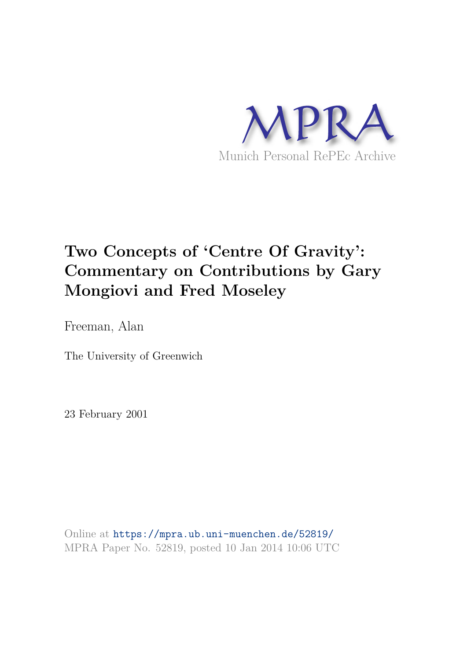

# **Two Concepts of 'Centre Of Gravity': Commentary on Contributions by Gary Mongiovi and Fred Moseley**

Freeman, Alan

The University of Greenwich

23 February 2001

Online at https://mpra.ub.uni-muenchen.de/52819/ MPRA Paper No. 52819, posted 10 Jan 2014 10:06 UTC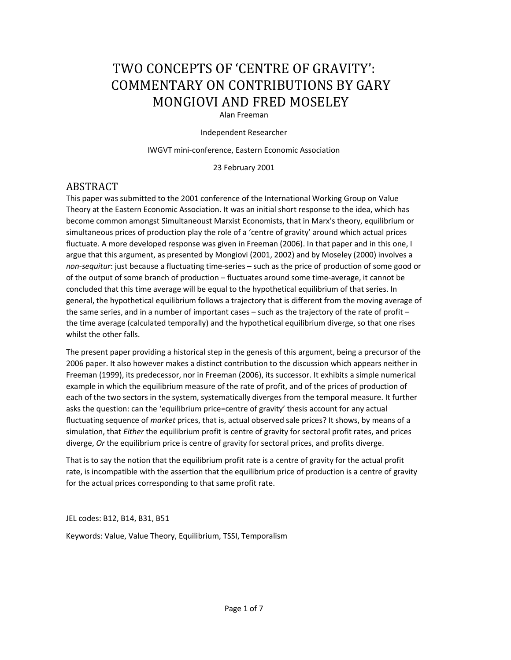## TWO CONCEPTS OF 'CENTRE OF GRAVITY': COMMENTARY ON CONTRIBUTIONS BY GARY MONGIOVI AND FRED MOSELEY

#### Alan Freeman

Independent Researcher

IWGVT mini-conference, Eastern Economic Association

23 February 2001

## ABSTRACT

This paper was submitted to the 2001 conference of the International Working Group on Value Theory at the Eastern Economic Association. It was an initial short response to the idea, which has become common amongst Simultaneoust Marxist Economists, that in Marx's theory, equilibrium or simultaneous prices of production play the role of a 'centre of gravity' around which actual prices fluctuate. A more developed response was given in Freeman (2006). In that paper and in this one, I argue that this argument, as presented by Mongiovi (2001, 2002) and by Moseley (2000) involves a *non-sequitur*: just because a fluctuating time-series – such as the price of production of some good or of the output of some branch of production – fluctuates around some time-average, it cannot be concluded that this time average will be equal to the hypothetical equilibrium of that series. In general, the hypothetical equilibrium follows a trajectory that is different from the moving average of the same series, and in a number of important cases – such as the trajectory of the rate of profit – the time average (calculated temporally) and the hypothetical equilibrium diverge, so that one rises whilst the other falls.

The present paper providing a historical step in the genesis of this argument, being a precursor of the 2006 paper. It also however makes a distinct contribution to the discussion which appears neither in Freeman (1999), its predecessor, nor in Freeman (2006), its successor. It exhibits a simple numerical example in which the equilibrium measure of the rate of profit, and of the prices of production of each of the two sectors in the system, systematically diverges from the temporal measure. It further asks the question: can the 'equilibrium price=centre of gravity' thesis account for any actual fluctuating sequence of *market* prices, that is, actual observed sale prices? It shows, by means of a simulation, that *Either* the equilibrium profit is centre of gravity for sectoral profit rates, and prices diverge, *Or* the equilibrium price is centre of gravity for sectoral prices, and profits diverge.

That is to say the notion that the equilibrium profit rate is a centre of gravity for the actual profit rate, is incompatible with the assertion that the equilibrium price of production is a centre of gravity for the actual prices corresponding to that same profit rate.

JEL codes: B12, B14, B31, B51

Keywords: Value, Value Theory, Equilibrium, TSSI, Temporalism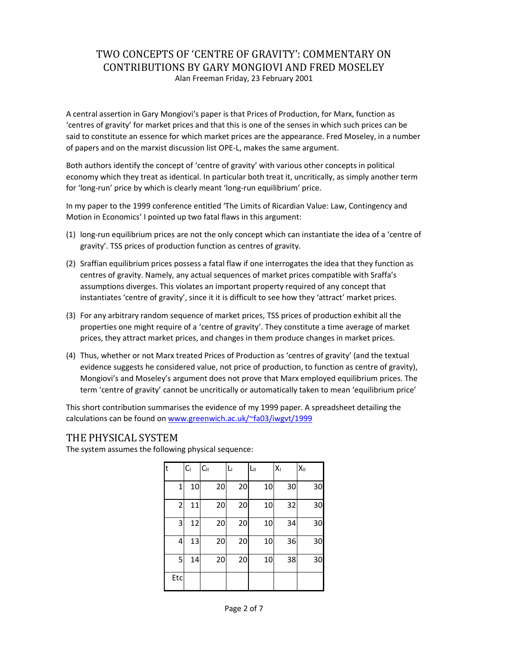### TWO CONCEPTS OF 'CENTRE OF GRAVITY': COMMENTARY ON CONTRIBUTIONS BY GARY MONGIOVI AND FRED MOSELEY Alan Freeman Friday, 23 February 2001

A central assertion in Gary Mongiovi's paper is that Prices of Production, for Marx, function as 'centres of gravity' for market prices and that this is one of the senses in which such prices can be said to constitute an essence for which market prices are the appearance. Fred Moseley, in a number of papers and on the marxist discussion list OPE-L, makes the same argument.

Both authors identify the concept of 'centre of gravity' with various other concepts in political economy which they treat as identical. In particular both treat it, uncritically, as simply another term for 'long-run' price by which is clearly meant 'long-run equilibrium' price.

In my paper to the 1999 conference entitled 'The Limits of Ricardian Value: Law, Contingency and Motion in Economics' I pointed up two fatal flaws in this argument:

- (1) long-run equilibrium prices are not the only concept which can instantiate the idea of a 'centre of gravity'. TSS prices of production function as centres of gravity.
- (2) Sraffian equilibrium prices possess a fatal flaw if one interrogates the idea that they function as centres of gravity. Namely, any actual sequences of market prices compatible with Sraffa's assumptions diverges. This violates an important property required of any concept that instantiates 'centre of gravity', since it it is difficult to see how they 'attract' market prices.
- (3) For any arbitrary random sequence of market prices, TSS prices of production exhibit all the properties one might require of a 'centre of gravity'. They constitute a time average of market prices, they attract market prices, and changes in them produce changes in market prices.
- (4) Thus, whether or not Marx treated Prices of Production as 'centres of gravity' (and the textual evidence suggests he considered value, not price of production, to function as centre of gravity), Mongiovi's and Moseley's argument does not prove that Marx employed equilibrium prices. The term 'centre of gravity' cannot be uncritically or automatically taken to mean 'equilibrium price'

This short contribution summarises the evidence of my 1999 paper. A spreadsheet detailing the calculations can be found on www.greenwich.ac.uk/~fa03/iwgvt/1999

#### THE PHYSICAL SYSTEM

The system assumes the following physical sequence:

| F           | $C_1$ | C <sub>II</sub> | Lı | Lп | $X_{1}$ | $X_{\rm II}$ |
|-------------|-------|-----------------|----|----|---------|--------------|
| $\mathbf 1$ | 10    | 20              | 20 | 10 | 30      | 30           |
| 2           | 11    | 20              | 20 | 10 | 32      | 30           |
| 3           | 12    | 20              | 20 | 10 | 34      | 30           |
| 4           | 13    | 20              | 20 | 10 | 36      | 30           |
| 5           | 14    | 20              | 20 | 10 | 38      | 30           |
| Etc         |       |                 |    |    |         |              |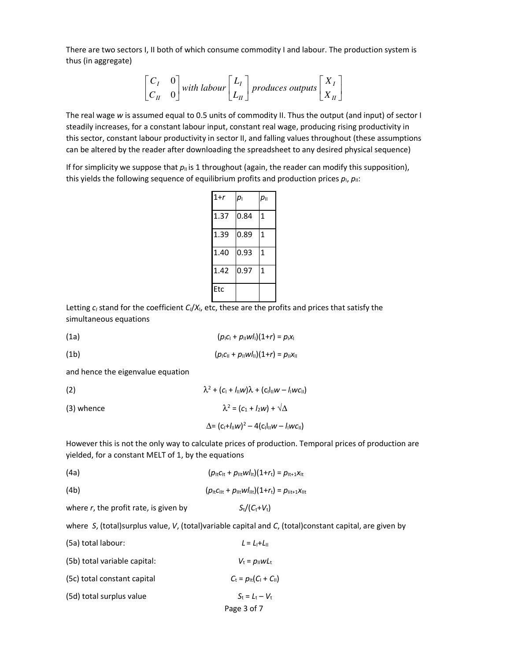There are two sectors I, II both of which consume commodity I and labour. The production system is thus (in aggregate)

$$
\begin{bmatrix} C_I & 0 \ C_{II} & 0 \end{bmatrix}
$$
 with labour  $\begin{bmatrix} L_I \ L_{II} \end{bmatrix}$  produces outputs  $\begin{bmatrix} X_I \ X_{II} \end{bmatrix}$ 

The real wage *w* is assumed equal to 0.5 units of commodity II. Thus the output (and input) of sector I steadily increases, for a constant labour input, constant real wage, producing rising productivity in this sector, constant labour productivity in sector II, and falling values throughout (these assumptions can be altered by the reader after downloading the spreadsheet to any desired physical sequence)

If for simplicity we suppose that  $p<sub>II</sub>$  is 1 throughout (again, the reader can modify this supposition), this yields the following sequence of equilibrium profits and production prices  $p_i$ ,  $p_{ii}$ :

| $1+r$ | $p_{\rm l}$ | $p_{\parallel}$ |
|-------|-------------|-----------------|
| 1.37  | 0.84        | 1               |
| 1.39  | 0.89        | 1               |
| 1.40  | 0.93        | 1               |
| 1.42  | 0.97        | 1               |
| Etc   |             |                 |

Letting *c<sup>I</sup>* stand for the coefficient *CI*/*X*I, etc, these are the profits and prices that satisfy the simultaneous equations

(1a)  $(p_1C_1 + p_{11}W_1)(1+r) = p_1X_1$ 

(1b)  $(p<sub>I</sub>C<sub>II</sub> + p<sub>II</sub>Wl<sub>II</sub>)(1+r) = p<sub>II</sub>X<sub>II</sub>$ 

and hence the eigenvalue equation

(2)  $\lambda$  $^{2} + (c_{1} + I_{\parallel}w)\lambda + (c_{1}I_{\parallel}w - I_{\parallel}wc_{\parallel})$ (3) whence  $x^2 = (c_1 + l_2w) + \sqrt{\Delta}$  $\Delta = (c_1 + l_{\parallel}w)^2 - 4(c_1l_{\parallel}w - l_{\parallel}wc_{\parallel})$ 

However this is not the only way to calculate prices of production. Temporal prices of production are yielded, for a constant MELT of 1, by the equations

(4a)  $(p_{1t}c_{1t} + p_{11t}wI_{1t})(1+r_t) = p_{1t+1}x_{1t}$ 

(4b) 
$$
(\rho_{lt}C_{llt} + \rho_{llt}W_{llt})(1+r_t) = \rho_{lit+1}X_{llt}
$$

where *r*, the profit rate, is given by  $S_t/(C_t+V_t)$ 

where *S*, (total)surplus value, *V*, (total)variable capital and *C*, (total)constant capital, are given by

Page 3 of 7 (5a) total labour:  $L = L_1 + L_1$ (5b) total variable capital:  $V_t = p_{\parallel} w L_t$ (5c) total constant capital  $C_t = p_{lt}(C_1 + C_1)$ (5d) total surplus value  $S_t = L_t - V_t$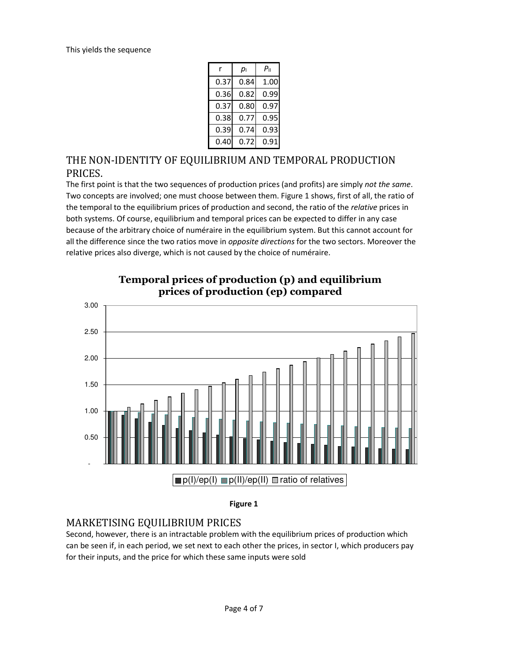| r    | pı   | $P_{\rm II}$ |  |
|------|------|--------------|--|
| 0.37 | 0.84 | 1.00         |  |
| 0.36 | 0.82 | 0.99         |  |
| 0.37 | 0.80 | 0.97         |  |
| 0.38 | 0.77 | 0.95         |  |
| 0.39 | 0.74 | 0.93         |  |
| 0.40 | 0.72 | 0.91         |  |

## THE NON-IDENTITY OF EQUILIBRIUM AND TEMPORAL PRODUCTION PRICES.

The first point is that the two sequences of production prices (and profits) are simply *not the same*. Two concepts are involved; one must choose between them. Figure 1 shows, first of all, the ratio of the temporal to the equilibrium prices of production and second, the ratio of the *relative* prices in both systems. Of course, equilibrium and temporal prices can be expected to differ in any case because of the arbitrary choice of numéraire in the equilibrium system. But this cannot account for all the difference since the two ratios move in *opposite directions* for the two sectors. Moreover the relative prices also diverge, which is not caused by the choice of numéraire.



## Temporal prices of production (p) and equilibrium **prices of production (ep) compared**

#### **Figure 1**

## MARKETISING EQUILIBRIUM PRICES

Second, however, there is an intractable problem with the equilibrium prices of production which can be seen if, in each period, we set next to each other the prices, in sector I, which producers pay for their inputs, and the price for which these same inputs were sold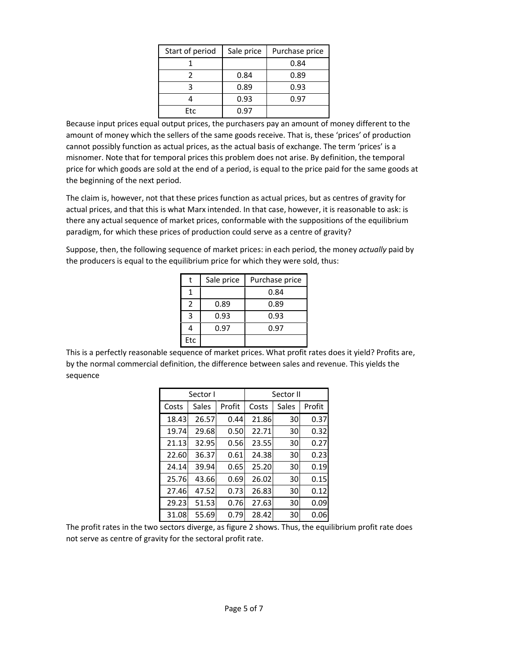| Start of period | Sale price | Purchase price |  |
|-----------------|------------|----------------|--|
|                 |            | 0.84           |  |
|                 | 0.84       | 0.89           |  |
|                 | 0.89       | 0.93           |  |
|                 | 0.93       | 0.97           |  |
| Etc             | በ ዓ7       |                |  |

Because input prices equal output prices, the purchasers pay an amount of money different to the amount of money which the sellers of the same goods receive. That is, these 'prices' of production cannot possibly function as actual prices, as the actual basis of exchange. The term 'prices' is a misnomer. Note that for temporal prices this problem does not arise. By definition, the temporal price for which goods are sold at the end of a period, is equal to the price paid for the same goods at the beginning of the next period.

The claim is, however, not that these prices function as actual prices, but as centres of gravity for actual prices, and that this is what Marx intended. In that case, however, it is reasonable to ask: is there any actual sequence of market prices, conformable with the suppositions of the equilibrium paradigm, for which these prices of production could serve as a centre of gravity?

Suppose, then, the following sequence of market prices: in each period, the money *actually* paid by the producers is equal to the equilibrium price for which they were sold, thus:

|     | Sale price | Purchase price |
|-----|------------|----------------|
|     |            | 0.84           |
| 2   | 0.89       | 0.89           |
| з   | 0.93       | 0.93           |
| 4   | 0.97       | 0.97           |
| Etc |            |                |

This is a perfectly reasonable sequence of market prices. What profit rates does it yield? Profits are, by the normal commercial definition, the difference between sales and revenue. This yields the sequence

| Sector I |       |        | Sector II |       |        |
|----------|-------|--------|-----------|-------|--------|
| Costs    | Sales | Profit | Costs     | Sales | Profit |
| 18.43    | 26.57 | 0.44   | 21.86     | 30    | 0.37   |
| 19.74    | 29.68 | 0.50   | 22.71     | 30    | 0.32   |
| 21.13    | 32.95 | 0.56   | 23.55     | 30    | 0.27   |
| 22.60    | 36.37 | 0.61   | 24.38     | 30    | 0.23   |
| 24.14    | 39.94 | 0.65   | 25.20     | 30    | 0.19   |
| 25.76    | 43.66 | 0.69   | 26.02     | 30    | 0.15   |
| 27.46    | 47.52 | 0.73   | 26.83     | 30    | 0.12   |
| 29.23    | 51.53 | 0.76   | 27.63     | 30    | 0.09   |
| 31.08    | 55.69 | 0.79   | 28.42     | 30    | 0.06   |

The profit rates in the two sectors diverge, as figure 2 shows. Thus, the equilibrium profit rate does not serve as centre of gravity for the sectoral profit rate.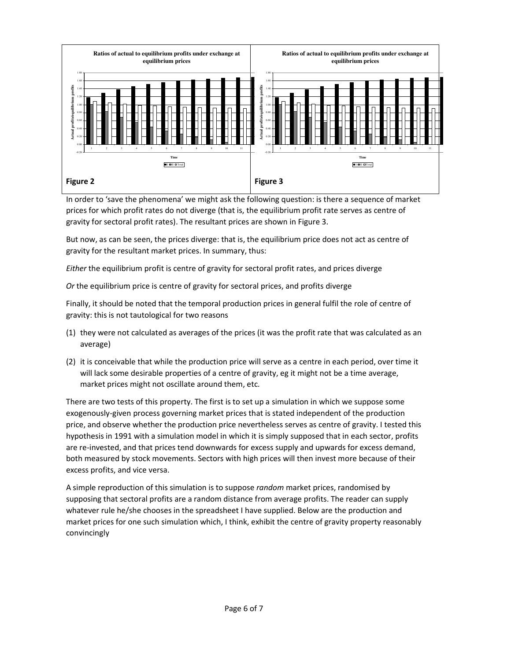

In order to 'save the phenomena' we might ask the following question: is there a sequence of market prices for which profit rates do not diverge (that is, the equilibrium profit rate serves as centre of gravity for sectoral profit rates). The resultant prices are shown in Figure 3.

But now, as can be seen, the prices diverge: that is, the equilibrium price does not act as centre of gravity for the resultant market prices. In summary, thus:

*Either* the equilibrium profit is centre of gravity for sectoral profit rates, and prices diverge

*Or* the equilibrium price is centre of gravity for sectoral prices, and profits diverge

Finally, it should be noted that the temporal production prices in general fulfil the role of centre of gravity: this is not tautological for two reasons

- (1) they were not calculated as averages of the prices (it was the profit rate that was calculated as an average)
- (2) it is conceivable that while the production price will serve as a centre in each period, over time it will lack some desirable properties of a centre of gravity, eg it might not be a time average, market prices might not oscillate around them, etc.

There are two tests of this property. The first is to set up a simulation in which we suppose some exogenously-given process governing market prices that is stated independent of the production price, and observe whether the production price nevertheless serves as centre of gravity. I tested this hypothesis in 1991 with a simulation model in which it is simply supposed that in each sector, profits are re-invested, and that prices tend downwards for excess supply and upwards for excess demand, both measured by stock movements. Sectors with high prices will then invest more because of their excess profits, and vice versa.

A simple reproduction of this simulation is to suppose *random* market prices, randomised by supposing that sectoral profits are a random distance from average profits. The reader can supply whatever rule he/she chooses in the spreadsheet I have supplied. Below are the production and market prices for one such simulation which, I think, exhibit the centre of gravity property reasonably convincingly